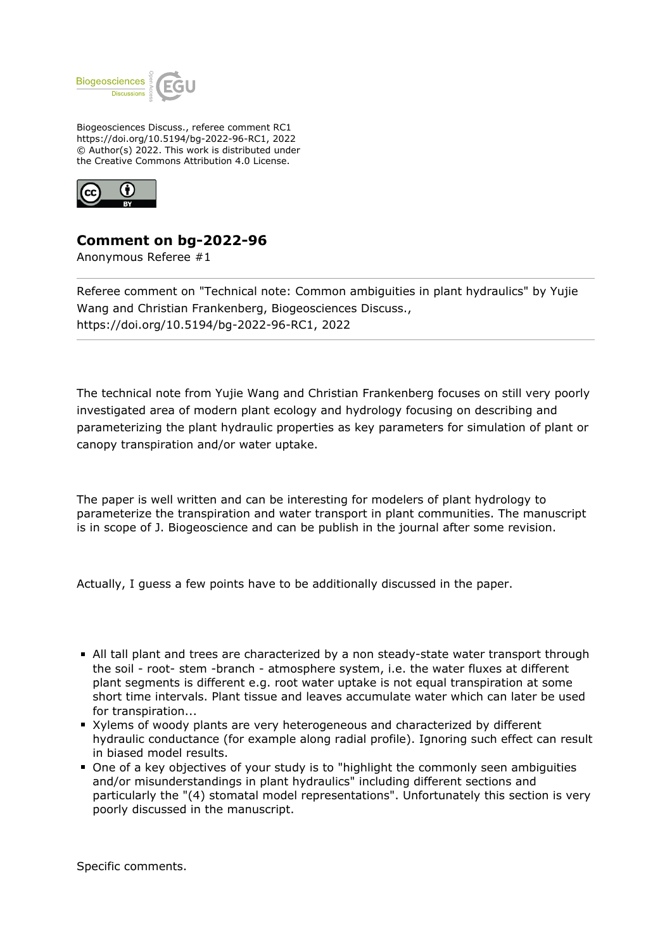

Biogeosciences Discuss., referee comment RC1 https://doi.org/10.5194/bg-2022-96-RC1, 2022 © Author(s) 2022. This work is distributed under the Creative Commons Attribution 4.0 License.



## **Comment on bg-2022-96**

Anonymous Referee #1

Referee comment on "Technical note: Common ambiguities in plant hydraulics" by Yujie Wang and Christian Frankenberg, Biogeosciences Discuss., https://doi.org/10.5194/bg-2022-96-RC1, 2022

The technical note from Yujie Wang and Christian Frankenberg focuses on still very poorly investigated area of modern plant ecology and hydrology focusing on describing and parameterizing the plant hydraulic properties as key parameters for simulation of plant or canopy transpiration and/or water uptake.

The paper is well written and can be interesting for modelers of plant hydrology to parameterize the transpiration and water transport in plant communities. The manuscript is in scope of J. Biogeoscience and can be publish in the journal after some revision.

Actually, I guess a few points have to be additionally discussed in the paper.

- All tall plant and trees are characterized by a non steady-state water transport through the soil - root- stem -branch - atmosphere system, i.e. the water fluxes at different plant segments is different e.g. root water uptake is not equal transpiration at some short time intervals. Plant tissue and leaves accumulate water which can later be used for transpiration...
- Xylems of woody plants are very heterogeneous and characterized by different hydraulic conductance (for example along radial profile). Ignoring such effect can result in biased model results.
- One of a key objectives of your study is to "highlight the commonly seen ambiguities and/or misunderstandings in plant hydraulics" including different sections and particularly the "(4) stomatal model representations". Unfortunately this section is very poorly discussed in the manuscript.

Specific comments.